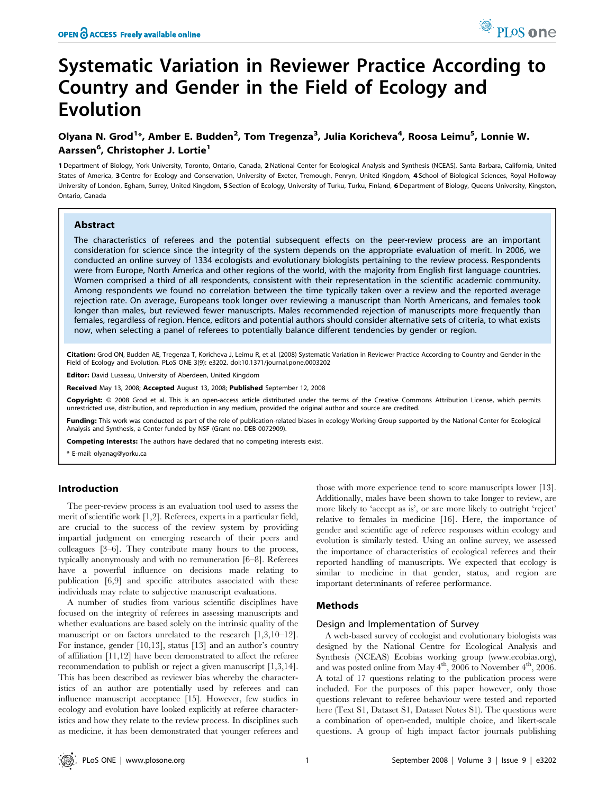# Systematic Variation in Reviewer Practice According to Country and Gender in the Field of Ecology and Evolution

# Olyana N. Grod<sup>1</sup>\*, Amber E. Budden<sup>2</sup>, Tom Tregenza<sup>3</sup>, Julia Koricheva<sup>4</sup>, Roosa Leimu<sup>5</sup>, Lonnie W. Aarssen<sup>6</sup>, Christopher J. Lortie<sup>1</sup>

1 Department of Biology, York University, Toronto, Ontario, Canada, 2National Center for Ecological Analysis and Synthesis (NCEAS), Santa Barbara, California, United States of America, 3 Centre for Ecology and Conservation, University of Exeter, Tremough, Penryn, United Kingdom, 4 School of Biological Sciences, Royal Holloway University of London, Egham, Surrey, United Kingdom, 5 Section of Ecology, University of Turku, Turku, Finland, 6Department of Biology, Queens University, Kingston, Ontario, Canada

#### Abstract

The characteristics of referees and the potential subsequent effects on the peer-review process are an important consideration for science since the integrity of the system depends on the appropriate evaluation of merit. In 2006, we conducted an online survey of 1334 ecologists and evolutionary biologists pertaining to the review process. Respondents were from Europe, North America and other regions of the world, with the majority from English first language countries. Women comprised a third of all respondents, consistent with their representation in the scientific academic community. Among respondents we found no correlation between the time typically taken over a review and the reported average rejection rate. On average, Europeans took longer over reviewing a manuscript than North Americans, and females took longer than males, but reviewed fewer manuscripts. Males recommended rejection of manuscripts more frequently than females, regardless of region. Hence, editors and potential authors should consider alternative sets of criteria, to what exists now, when selecting a panel of referees to potentially balance different tendencies by gender or region.

Citation: Grod ON, Budden AE, Tregenza T, Koricheva J, Leimu R, et al. (2008) Systematic Variation in Reviewer Practice According to Country and Gender in the Field of Ecology and Evolution. PLoS ONE 3(9): e3202. doi:10.1371/journal.pone.0003202

Editor: David Lusseau, University of Aberdeen, United Kingdom

Received May 13, 2008; Accepted August 13, 2008; Published September 12, 2008

Copyright: @ 2008 Grod et al. This is an open-access article distributed under the terms of the Creative Commons Attribution License, which permits unrestricted use, distribution, and reproduction in any medium, provided the original author and source are credited.

Funding: This work was conducted as part of the role of publication-related biases in ecology Working Group supported by the National Center for Ecological Analysis and Synthesis, a Center funded by NSF (Grant no. DEB-0072909).

Competing Interests: The authors have declared that no competing interests exist.

\* E-mail: olyanag@yorku.ca

#### Introduction

The peer-review process is an evaluation tool used to assess the merit of scientific work [1,2]. Referees, experts in a particular field, are crucial to the success of the review system by providing impartial judgment on emerging research of their peers and colleagues [3–6]. They contribute many hours to the process, typically anonymously and with no remuneration [6–8]. Referees have a powerful influence on decisions made relating to publication [6,9] and specific attributes associated with these individuals may relate to subjective manuscript evaluations.

A number of studies from various scientific disciplines have focused on the integrity of referees in assessing manuscripts and whether evaluations are based solely on the intrinsic quality of the manuscript or on factors unrelated to the research [1,3,10–12]. For instance, gender [10,13], status [13] and an author's country of affiliation [11,12] have been demonstrated to affect the referee recommendation to publish or reject a given manuscript [1,3,14]. This has been described as reviewer bias whereby the characteristics of an author are potentially used by referees and can influence manuscript acceptance [15]. However, few studies in ecology and evolution have looked explicitly at referee characteristics and how they relate to the review process. In disciplines such as medicine, it has been demonstrated that younger referees and those with more experience tend to score manuscripts lower [13]. Additionally, males have been shown to take longer to review, are more likely to 'accept as is', or are more likely to outright 'reject' relative to females in medicine [16]. Here, the importance of gender and scientific age of referee responses within ecology and evolution is similarly tested. Using an online survey, we assessed the importance of characteristics of ecological referees and their reported handling of manuscripts. We expected that ecology is similar to medicine in that gender, status, and region are important determinants of referee performance.

#### Methods

#### Design and Implementation of Survey

A web-based survey of ecologist and evolutionary biologists was designed by the National Centre for Ecological Analysis and Synthesis (NCEAS) Ecobias working group (www.ecobias.org), and was posted online from May  $4<sup>th</sup>$ , 2006 to November  $4<sup>th</sup>$ , 2006. A total of 17 questions relating to the publication process were included. For the purposes of this paper however, only those questions relevant to referee behaviour were tested and reported here (Text S1, Dataset S1, Dataset Notes S1). The questions were a combination of open-ended, multiple choice, and likert-scale questions. A group of high impact factor journals publishing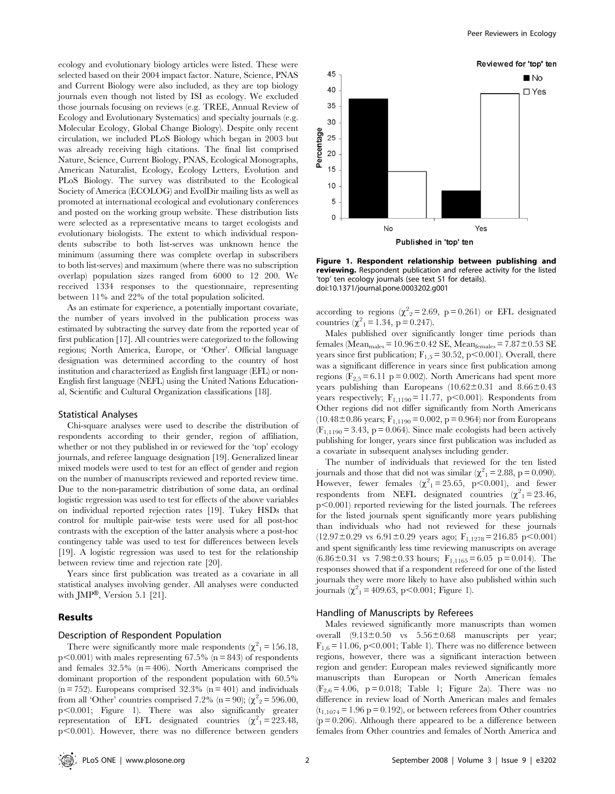ecology and evolutionary biology articles were listed. These were selected based on their 2004 impact factor. Nature, Science, PNAS and Current Biology were also included, as they are top biology journals even though not listed by ISI as ecology. We excluded those journals focusing on reviews (e.g. TREE, Annual Review of Ecology and Evolutionary Systematics) and specialty journals (e.g. Molecular Ecology, Global Change Biology). Despite only recent circulation, we included PLoS Biology which began in 2003 but was already receiving high citations. The final list comprised Nature, Science, Current Biology, PNAS, Ecological Monographs, American Naturalist, Ecology, Ecology Letters, Evolution and PLoS Biology. The survey was distributed to the Ecological Society of America (ECOLOG) and EvolDir mailing lists as well as promoted at international ecological and evolutionary conferences and posted on the working group website. These distribution lists were selected as a representative means to target ecologists and evolutionary biologists. The extent to which individual respondents subscribe to both list-serves was unknown hence the minimum (assuming there was complete overlap in subscribers to both list-serves) and maximum (where there was no subscription overlap) population sizes ranged from 6000 to 12 200. We received 1334 responses to the questionnaire, representing between 11% and 22% of the total population solicited.

As an estimate for experience, a potentially important covariate, the number of years involved in the publication process was estimated by subtracting the survey date from the reported year of first publication [17]. All countries were categorized to the following regions; North America, Europe, or 'Other'. Official language designation was determined according to the country of host institution and characterized as English first language (EFL) or non-English first language (NEFL) using the United Nations Educational, Scientific and Cultural Organization classifications [18].

#### Statistical Analyses

Chi-square analyses were used to describe the distribution of respondents according to their gender, region of affiliation, whether or not they published in or reviewed for the 'top' ecology journals, and referee language designation [19]. Generalized linear mixed models were used to test for an effect of gender and region on the number of manuscripts reviewed and reported review time. Due to the non-parametric distribution of some data, an ordinal logistic regression was used to test for effects of the above variables on individual reported rejection rates [19]. Tukey HSDs that control for multiple pair-wise tests were used for all post-hoc contrasts with the exception of the latter analysis where a post-hoc contingency table was used to test for differences between levels [19]. A logistic regression was used to test for the relationship between review time and rejection rate [20].

Years since first publication was treated as a covariate in all statistical analyses involving gender. All analyses were conducted with JMP<sup>®</sup>, Version 5.1 [21].

## Results

#### Description of Respondent Population

There were significantly more male respondents ( $\chi^2$ <sub>1</sub> = 156.18,  $p<0.001$ ) with males representing 67.5% (n = 843) of respondents and females  $32.5\%$  (n = 406). North Americans comprised the dominant proportion of the respondent population with 60.5%  $(n = 752)$ . Europeans comprised 32.3%  $(n = 401)$  and individuals from all 'Other' countries comprised 7.2% (n = 90); ( $\chi^2$ <sub>2</sub> = 596.00, p,0.001; Figure 1). There was also significantly greater representation of EFL designated countries  $(\chi^2)^2 = 223.48$ ,  $p<0.001$ ). However, there was no difference between genders



Figure 1. Respondent relationship between publishing and reviewing. Respondent publication and referee activity for the listed 'top' ten ecology journals (see text S1 for details). doi:10.1371/journal.pone.0003202.g001

according to regions  $(\chi^2{}_2 = 2.69, p = 0.261)$  or EFL designated countries  $(\chi^2_1 = 1.34, p = 0.247)$ .

Males published over significantly longer time periods than females (Mean $_{\text{males}}$  = 10.96 $\pm$ 0.42 SE, Mean $_{\text{females}}$  = 7.87 $\pm$ 0.53 SE years since first publication;  $F_{1,5} = 30.52$ , p $< 0.001$ ). Overall, there was a significant difference in years since first publication among regions ( $F_{2,5}$  = 6.11 p = 0.002). North Americans had spent more years publishing than Europeans  $(10.62 \pm 0.31$  and  $8.66 \pm 0.43$ years respectively;  $F_{1,1190} = 11.77$ , p $< 0.001$ ). Respondents from Other regions did not differ significantly from North Americans  $(10.48\pm0.86 \text{ years}; F_{1,1190} = 0.002, p = 0.964)$  nor from Europeans  $(F_{1,1190} = 3.43, p = 0.064)$ . Since male ecologists had been actively publishing for longer, years since first publication was included as a covariate in subsequent analyses including gender.

The number of individuals that reviewed for the ten listed journals and those that did not was similar  $(\chi^2_{1} = 2.88, p = 0.090)$ . However, fewer females  $(\chi^2)^1 = 25.65$ , p<0.001), and fewer respondents from NEFL designated countries  $(\chi^2) = 23.46$ ,  $p<0.001$ ) reported reviewing for the listed journals. The referees for the listed journals spent significantly more years publishing than individuals who had not reviewed for these journals  $(12.97\pm0.29 \text{ vs } 6.91\pm0.29 \text{ years ago}; F_{1,1278}= 216.85 \text{ p} < 0.001)$ and spent significantly less time reviewing manuscripts on average  $(6.86\pm0.31 \text{ vs } 7.98\pm0.33 \text{ hours}; \text{ F}_{1,1165}=6.05 \text{ p} = 0.014).$  The responses showed that if a respondent refereed for one of the listed journals they were more likely to have also published within such journals  $(\chi^2_1 = 409.63, \, \text{p} < 0.001; \, \text{Figure 1}).$ 

#### Handling of Manuscripts by Referees

Males reviewed significantly more manuscripts than women overall  $(9.13\pm0.50$  vs  $5.56\pm0.68$  manuscripts per year;  $F_{1,6}$  = 11.06, p $<$ 0.001; Table 1). There was no difference between regions, however, there was a significant interaction between region and gender: European males reviewed significantly more manuscripts than European or North American females  $(F_{2,6} = 4.06, p = 0.018;$  Table 1; Figure 2a). There was no difference in review load of North American males and females  $(t_{1,1074} = 1.96 \text{ p} = 0.192)$ , or between referees from Other countries  $(p = 0.206)$ . Although there appeared to be a difference between females from Other countries and females of North America and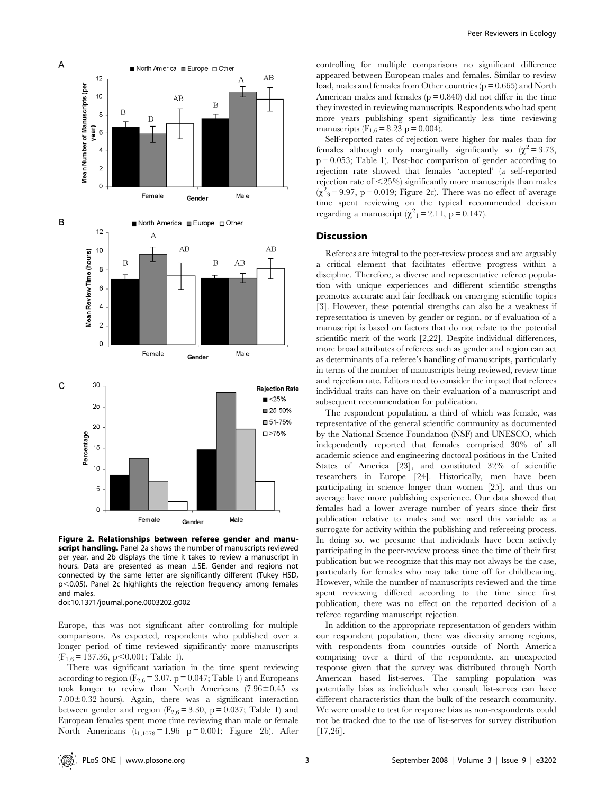

Figure 2. Relationships between referee gender and manuscript handling. Panel 2a shows the number of manuscripts reviewed per year, and 2b displays the time it takes to review a manuscript in hours. Data are presented as mean  $\pm$ SE. Gender and regions not connected by the same letter are significantly different (Tukey HSD,  $p$ <0.05). Panel 2c highlights the rejection frequency among females and males. doi:10.1371/journal.pone.0003202.g002

Europe, this was not significant after controlling for multiple comparisons. As expected, respondents who published over a longer period of time reviewed significantly more manuscripts  $(F_{1,6} = 137.36, p < 0.001;$  Table 1).

There was significant variation in the time spent reviewing according to region ( $F_{2,6}$  = 3.07, p = 0.047; Table 1) and Europeans took longer to review than North Americans  $(7.96 \pm 0.45$  vs  $7.00\pm0.32$  hours). Again, there was a significant interaction between gender and region ( $F_{2,6}$  = 3.30, p = 0.037; Table 1) and European females spent more time reviewing than male or female North Americans  $(t_{1,1078} = 1.96 \text{ p} = 0.001$ ; Figure 2b). After

controlling for multiple comparisons no significant difference appeared between European males and females. Similar to review load, males and females from Other countries ( $p = 0.665$ ) and North American males and females  $(p = 0.840)$  did not differ in the time they invested in reviewing manuscripts. Respondents who had spent more years publishing spent significantly less time reviewing manuscripts ( $F_{1,6} = 8.23$  p = 0.004).

Self-reported rates of rejection were higher for males than for females although only marginally significantly so  $(\chi^2 = 3.73,$  $p = 0.053$ ; Table 1). Post-hoc comparison of gender according to rejection rate showed that females 'accepted' (a self-reported rejection rate of  $\langle 25\% \rangle$  significantly more manuscripts than males  $(\chi^2$ <sub>3</sub> = 9.97, p = 0.019; Figure 2c). There was no effect of average time spent reviewing on the typical recommended decision regarding a manuscript  $(\chi^2_{1} = 2.11, p = 0.147)$ .

## **Discussion**

Referees are integral to the peer-review process and are arguably a critical element that facilitates effective progress within a discipline. Therefore, a diverse and representative referee population with unique experiences and different scientific strengths promotes accurate and fair feedback on emerging scientific topics [3]. However, these potential strengths can also be a weakness if representation is uneven by gender or region, or if evaluation of a manuscript is based on factors that do not relate to the potential scientific merit of the work [2,22]. Despite individual differences, more broad attributes of referees such as gender and region can act as determinants of a referee's handling of manuscripts, particularly in terms of the number of manuscripts being reviewed, review time and rejection rate. Editors need to consider the impact that referees individual traits can have on their evaluation of a manuscript and subsequent recommendation for publication.

The respondent population, a third of which was female, was representative of the general scientific community as documented by the National Science Foundation (NSF) and UNESCO, which independently reported that females comprised 30% of all academic science and engineering doctoral positions in the United States of America [23], and constituted 32% of scientific researchers in Europe [24]. Historically, men have been participating in science longer than women [25], and thus on average have more publishing experience. Our data showed that females had a lower average number of years since their first publication relative to males and we used this variable as a surrogate for activity within the publishing and refereeing process. In doing so, we presume that individuals have been actively participating in the peer-review process since the time of their first publication but we recognize that this may not always be the case, particularly for females who may take time off for childbearing. However, while the number of manuscripts reviewed and the time spent reviewing differed according to the time since first publication, there was no effect on the reported decision of a referee regarding manuscript rejection.

In addition to the appropriate representation of genders within our respondent population, there was diversity among regions, with respondents from countries outside of North America comprising over a third of the respondents, an unexpected response given that the survey was distributed through North American based list-serves. The sampling population was potentially bias as individuals who consult list-serves can have different characteristics than the bulk of the research community. We were unable to test for response bias as non-respondents could not be tracked due to the use of list-serves for survey distribution [17,26].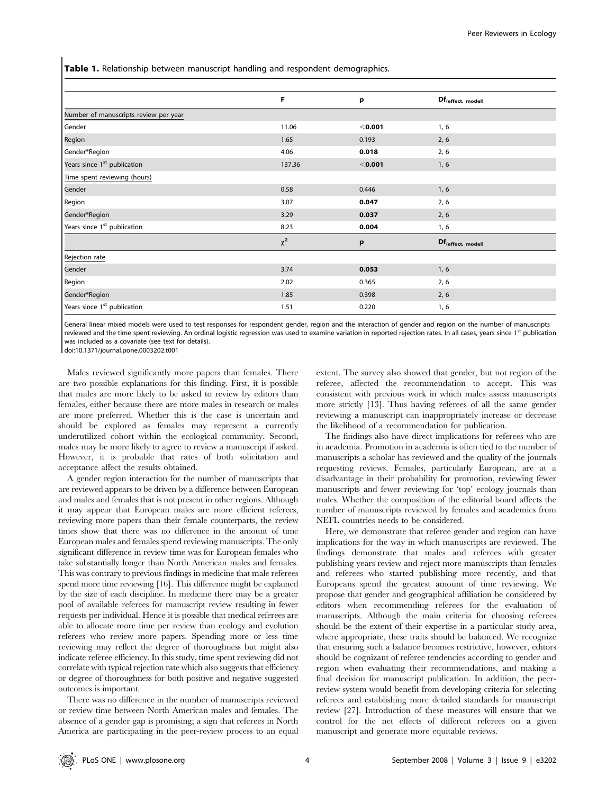Table 1. Relationship between manuscript handling and respondent demographics.

| F        | p         | Df <sub>(effect, model)</sub> |
|----------|-----------|-------------------------------|
|          |           |                               |
| 11.06    | $<$ 0.001 | 1, 6                          |
| 1.65     | 0.193     | 2, 6                          |
| 4.06     | 0.018     | 2, 6                          |
| 137.36   | $<$ 0.001 | 1, 6                          |
|          |           |                               |
| 0.58     | 0.446     | 1, 6                          |
| 3.07     | 0.047     | 2, 6                          |
| 3.29     | 0.037     | 2, 6                          |
| 8.23     | 0.004     | 1, 6                          |
| $\chi^2$ | p         | Df <sub>(effect, model)</sub> |
|          |           |                               |
| 3.74     | 0.053     | 1, 6                          |
| 2.02     | 0.365     | 2, 6                          |
| 1.85     | 0.398     | 2, 6                          |
| 1.51     | 0.220     | 1, 6                          |
|          |           |                               |

General linear mixed models were used to test responses for respondent gender, region and the interaction of gender and region on the number of manuscripts reviewed and the time spent reviewing. An ordinal logistic regression was used to examine variation in reported rejection rates. In all cases, years since 1<sup>st</sup> publication was included as a covariate (see text for details).

doi:10.1371/journal.pone.0003202.t001

Males reviewed significantly more papers than females. There are two possible explanations for this finding. First, it is possible that males are more likely to be asked to review by editors than females, either because there are more males in research or males are more preferred. Whether this is the case is uncertain and should be explored as females may represent a currently underutilized cohort within the ecological community. Second, males may be more likely to agree to review a manuscript if asked. However, it is probable that rates of both solicitation and acceptance affect the results obtained.

A gender region interaction for the number of manuscripts that are reviewed appears to be driven by a difference between European and males and females that is not present in other regions. Although it may appear that European males are more efficient referees, reviewing more papers than their female counterparts, the review times show that there was no difference in the amount of time European males and females spend reviewing manuscripts. The only significant difference in review time was for European females who take substantially longer than North American males and females. This was contrary to previous findings in medicine that male referees spend more time reviewing [16]. This difference might be explained by the size of each discipline. In medicine there may be a greater pool of available referees for manuscript review resulting in fewer requests per individual. Hence it is possible that medical referees are able to allocate more time per review than ecology and evolution referees who review more papers. Spending more or less time reviewing may reflect the degree of thoroughness but might also indicate referee efficiency. In this study, time spent reviewing did not correlate with typical rejection rate which also suggests that efficiency or degree of thoroughness for both positive and negative suggested outcomes is important.

There was no difference in the number of manuscripts reviewed or review time between North American males and females. The absence of a gender gap is promising; a sign that referees in North America are participating in the peer-review process to an equal extent. The survey also showed that gender, but not region of the referee, affected the recommendation to accept. This was consistent with previous work in which males assess manuscripts more strictly [13]. Thus having referees of all the same gender reviewing a manuscript can inappropriately increase or decrease the likelihood of a recommendation for publication.

The findings also have direct implications for referees who are in academia. Promotion in academia is often tied to the number of manuscripts a scholar has reviewed and the quality of the journals requesting reviews. Females, particularly European, are at a disadvantage in their probability for promotion, reviewing fewer manuscripts and fewer reviewing for 'top' ecology journals than males. Whether the composition of the editorial board affects the number of manuscripts reviewed by females and academics from NEFL countries needs to be considered.

Here, we demonstrate that referee gender and region can have implications for the way in which manuscripts are reviewed. The findings demonstrate that males and referees with greater publishing years review and reject more manuscripts than females and referees who started publishing more recently, and that Europeans spend the greatest amount of time reviewing. We propose that gender and geographical affiliation be considered by editors when recommending referees for the evaluation of manuscripts. Although the main criteria for choosing referees should be the extent of their expertise in a particular study area, where appropriate, these traits should be balanced. We recognize that ensuring such a balance becomes restrictive, however, editors should be cognizant of referee tendencies according to gender and region when evaluating their recommendations, and making a final decision for manuscript publication. In addition, the peerreview system would benefit from developing criteria for selecting referees and establishing more detailed standards for manuscript review [27]. Introduction of these measures will ensure that we control for the net effects of different referees on a given manuscript and generate more equitable reviews.